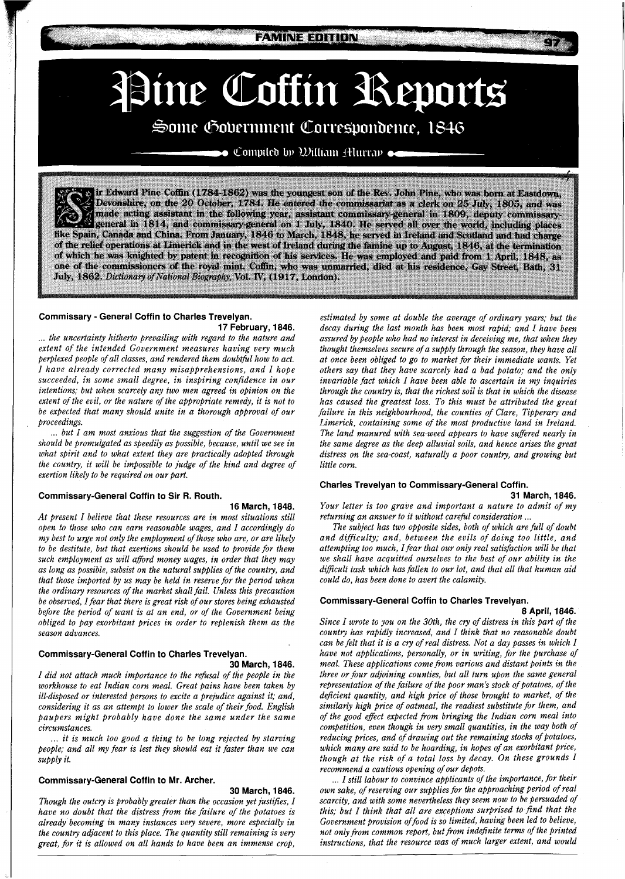**FAMINE EDITION** 

# Pine Coffin Reports

# Some Government Correspondence, 1846

 $\bullet$  Compiled by William Alurray  $\bullet$ 

ir Edward Pine Coffin (1784-1862) was the youngest son of the Rev. John Pine, who was born at Eastdown, Devonshire, on the 20 October, 1784. He entered the commissariat as a clerk on 25 July, 1805, and was made acting assistant in the following year, assistant commissary-general in 1809, deputy commissarygeneral in 1814, and commissary-general on 1 July, 1840. He served all over the world, including places like Spain, Canada and China. From January, 1846 to March, 1848, he served in Ireland and Scotland and had charge<br>of the relief operations at Limerick and in the west of Ireland during the famine up to August, 1846, at the of which he was knighted by patent in recognition of his services. He was employed and paid from 1 April, 1848, as one of the commissioners of the royal mint. Coffin, who was unmarried, died at his residence, Gay Street, Bath. 31 July, 1862. Dictionary of National Biography, Vol. IV, (1917, London).

#### **Commissary** - **General Coffin to Charles Trevelyan.**

**17 February, 1846.**  ... *the uncertainty hitherto prevailing with regard to the nature and extent of the intended Government measures having very much*  perplexed people of all classes, and rendered them doubtful how to act. *I have already corrected many misapprehensions, and I hope succeeded, in some small degree, in inspiring confidence in our intentions; but when scarcely any two men agreed in opinion on the extent of the evil, or the nature of the appropriate remedy, it is not to be expected that many should unite in a thorough approval of our proceedings.* 

... *but I am most anxious that the suggestion of the Government should be promulgated as speedily as possible, because, until we see in what spirit and to what extent they are practically adopted through the country, it will be impossible to judge of the kind and degree of exertion likely to be required on our part.* 

# **Commissary-General Coffin to Sir R. Routh.**

**16 March, 1848.** 

*At present I believe that these resources are in most situations still open to those who can earn reasonable wages, and I accordingly do my best to urge not only the employment of those who are, or are likely to be destitute, but that exertions should be used to provide for them such employment as will afford money wages, in order that they may as long as possible, subsist on the natural supplies of the country, and that those imported by us may be held in reserve for the period when the ordinary resources of the market shall fail. Unless this precaution be observed, I fear that there is great risk of our stores being exhausted before the period of want is at an end, or of the Government being obliged to pay exorbitant prices in order to replenish them as the season advances.* 

# **Commissary-General Coffin to Charles Trevelyan.**

#### **30 March, 1846.**

*I did not attach much importance to the refusal of the people in the workhouse to eat Indian corn meal. Great pains have been taken by ill-disposed or interested persons to excite a prejudice against it; and, considering it as an attempt to lower the scale of their food. English paupers might probably have done the same under the same circumstances.* 

... *it is much too good a thing to be long rejected by starving people; and all my fear is lest they should eat it faster than we can supply it.* 

# **Commissary-General Coffin to Mr. Archer.**

#### **30 March, 1846.**

*Though the outcry is probably greater than the occasion yet justifies, I have no doubt that the distress from the failure of the potatoes is already becoming in many instances very severe, more especially in the country adjacent to this place. The quantity still remaining is very great, for it is allowed on all hands to have been an immense crop,* 

*estimated by some at double the average of ordinary years; but the decay during the last month has been most rapid; and I have been assured by people who had no interest in deceiving me, that when they thought themselves secure of a supply through the season, they have all at once been obliged to go to market for their immediate wants. Yet others say that they have scarcely had a bad potato; and the only invariable fact which I have been able to ascertain in my inquiries through the country is, that the richest soil is that in which the disease has caused the greatest loss. To this must be attributed the great failure in this neighbourhood, the counties of Clare, Tipperary and Limerick, containing some of the most productive land in Ireland. The land manured with sea-weed appears to have suffered nearly in the same degree as the deep alluvial soils, and hence arises the great distress on the sea-coast, naturally a poor country, and growing but little corn.* 

# **Charles Trevelyan to Commissary-General Coffin.**

#### **31 March, 1846.**

*Your letter is too grave and important a nature to admit of my* 

*The subject has two opposite sides, both of which are full of doubt and difficulty; and, between the evils of doing too little, and attempting too much, Ifear that our only real satisfaction will be that we shall have acquitted ourselves to the best of our ability in the difficult task which has fallen to our lot, and that all that human aid could do, has been done to avert the calamity.* 

# **Commissary-General Coffin to Charles Trevelyan.**

**8 April, 1846.** 

*Since I wrote to you on the 30th, the cry of distress in this part of the country has rapidly increased, and I think that no reasonable doubt can be felt that it is a cry of real distress. Not a day passes in which I have not applications, personally, or in writing, for the purchase of meal. These applications come from various and distant points in the three or four adjoining counties, but all turn upon the same general representation of the failure of the poor man's stock of potatoes, of the deficient quantity, and high price of those brought to market, of the similarly high price of oatmeal, the readiest substitute for them, and of the good effect expected from bringing the Indian corn meal into competition, even though in very small quantities, in the way both of reducing prices, and of drawing out the remaining stocks of potatoes, which many are said to be hoarding, in hopes of an exorbitant price, though at the risk of a total loss by decay. On these grounds I recommend a cautious opening of our depots.* 

... *I still labour to convince applicants of the importance, for their own sake, of reserving Our supplies for the approaching period of real scarcity, and with some nevertheless they seem now to be Persuaded of this; but I think that all are exceptions surprised to find that the Government provision offood is so limited, having been led to believe, not only from common report, but from indefinite terms of the printed instructions, that the resource was of much larger extent, and would*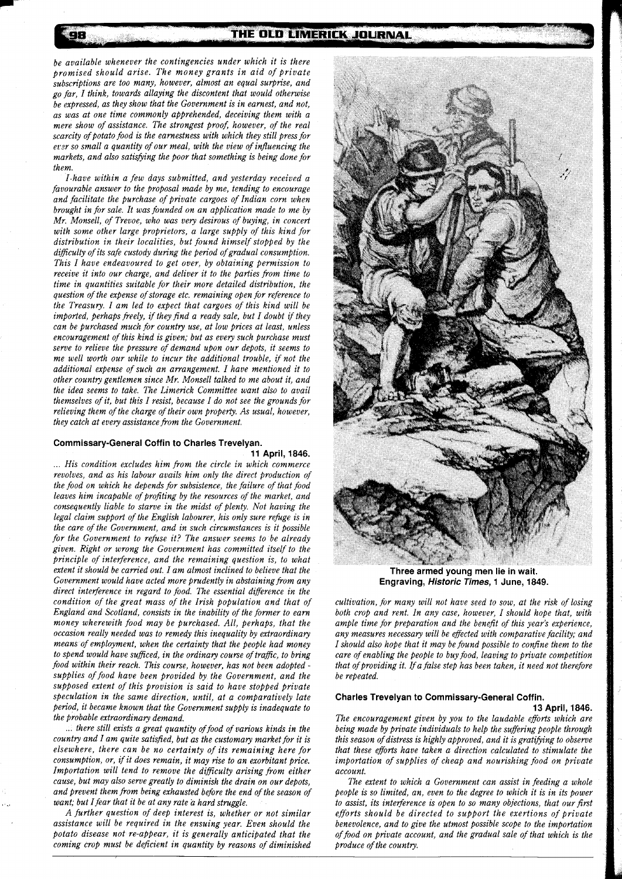*be available whenever the contingencies under which it is there promised should arise. The money grants in aid of private subscriptions are too many, however, almost an equal surprise, and go far, I think, towards allaying the discontent that would otherwise be expressed, as they show that the Government is in earnest, and not, as was at one time commonly apprehended, deceiving them with a mere show of assistance. The strongest proof, however, of the real scarcity of potato food is the earnestness with which they still press for ersr so small a quantity of our meal, with the view of influencing the markets, and also satisfying the poor that something is being done for them.* 

98

*I.have within a few days submitted, and yesterday received a favourable answer to the proposal made by me, tending to encourage and facilitate the purchase of private cargoes of Indian corn when brought in for sale. It was founded on an application made to me by Mr. Monsell, of Treuoe, who was very desirous of buying, in concert with some other large proprietors, a large supply of this kind for distribution in their localities, but found himself stopped by the difficulty of its safe custody during the period of gradual consumption. This I have endeavoured to get over, by obtaining permission to receive it into our charge, and deliver it to the parties from time to time in quantities suitable for their more detailed distribution, the question of the expense of storage etc. remaining open for reference to the Treasury. I am led to expect that cargoes of this kind will be imported, perhaps freely, if they find a ready sale, but I doubt if they can be purchased much for country use, at low prices at least, unless encouragement of this kind is given; but as every such purchase must serve to relieve the pressure of demand upon our depots, it seems to me well worth our while to incur the additional trouble, if not the additional expense of such an arrangement. I have mentioned it to other country gentlemen since Mr. Monsell talked to me about it, and the idea seems to take. The Limerick Committee want also to avail themselves of it, but this I resist, because I do not see the grounds for relieving them of the charge of their own property. As usual, however, they catch at every assistance from the Government.* 

# **Commissary-General Coffin to Charles Trevelyan.**

**11 April, 1846.**  ... *His condition excludes him from the circle in which commerce revolves, and as his labour avails him only the direct production of the food on which he depends for subsistence, the failure of that food leaves him incapable of profiting by the resources of the market, and consequently liable to starve in the midst of plenty. Not having the legal claim support of the English labourer, his only sure rebge is in the care of the Government, and in such circumstances is it possible for the Government to refuse it? The answer seems to be already given. Right or wrong the Government has committed itself to the principle of interference, and the remaining question is, to what extent it should be carried out. I am almost inclined to believe that the Government would have acted more prudently in abstainingfrom any direct interference in regard to food. The essential difference in the condition of the great mass of the Irish population and that of England and Scotland, consists in the inability of the former to earn money wherewith food may be purchased. All, perhaps, that the occasion really needed was to remedy this inequality by extraordinary means of employment, when the certainty that the people had money to spend would have sufficed, in the ordinary course of traffic, to bring food within their reach. This course, however, has not been adopted supplies of food have been provided by the Government, and the supposed extent of this provision is said to have stopped private speculation in the same direction, until, at a comparatively late period, it became known that the Government supply is inadequate to the probable extraordinary demand.* 

... *there still exists a great quantity of food of various kinds in the country and I am quite satisfied, but as the customary market for it is elsewhere, there can be no certainty of its remaining here for consumption, or, if it does remain, it may rise to an exorbitant price. Importation will tend to remove the difficulty arising from either cause, but may also serve greatly to diminish the drain on our depots, and prevent them from being exhausted before the end of the season of want; but Ifear that it be at any rate a hard struggle.* 

*A further question of deep interest is, whether or not similar assistance will be required in the ensuing year. Even should the potato disease not re-appear, it is generally anticipated that the coming crop must be deficient in quantity by reasons of diminished* 



**Three armed vouna men lie in wait.**  Engraving, *Historic Times*, 1 June, 1849.

*cultivation, for many will not have seed to sow, at the risk of losing both crop and rent. In any case, however, I should hope that, with ample time for preparation and the benefit of this year's experience, any measures necessary will be effected with comparative facility; and I should also hope that it may be found possible to confine them to the care of enabling the people to buy food, leaving to private competition that of providing it. If a false step has been taken, it need not therefore be repeated.* 

# **Charles Trevelyan to Commissary-General Coffin.**

**13 April, 1846.** 

*The encouragement given by you to the laudable efforts which are being made by private individuals to help the suffering people through*  this season of distress is highly approved, and it is gratifying to observe *that these efforts have taken a direction calculated to stimulate the importation of supplies of cheap and nourishing food on private account.* 

*The extent to which a Government can assist in feeding a whole people is so limited, an, even to the degree to which it is in its power to assist, its interference is open to so many objections, that our first efforts should be directed to support the exertions of private benevolence, and to give the utmost possible scope to the importation of food on private account, and the gradual sale of that which is the produce of the country.*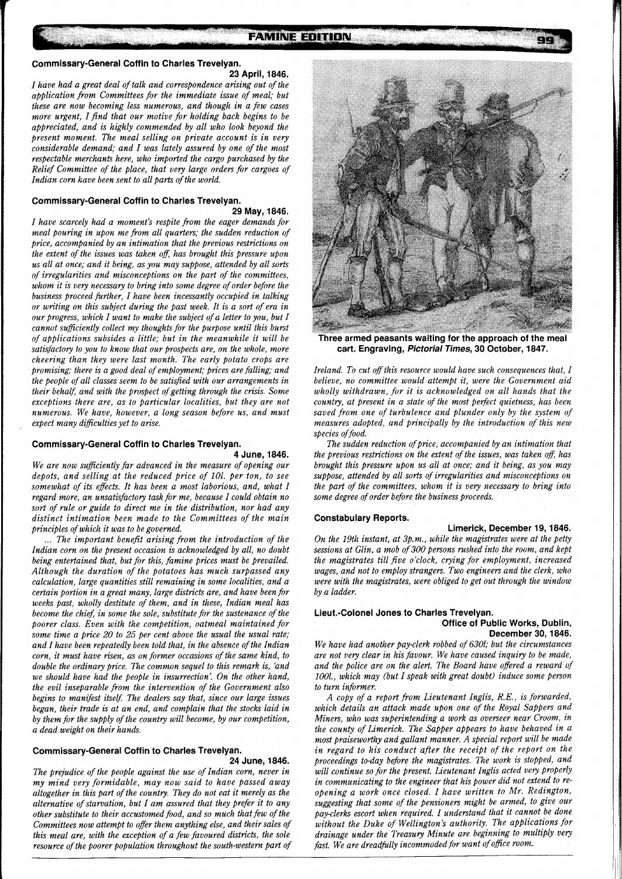#### **FAMINE EDITION**

#### **Commissary-General Coffin to Charles Trevelyan.**

#### **23 April, 1846.**

*I have had a great deal of talk and correspondence arising out of the application from Committees for the immediate issue of meal; but these are now becoming less numerous, and though in a few cases more urgent, I find that our motive for holding back begins to be appreciated, and is highly commended by all who look beyond the present moment. The meal selling on private account is in very considerable demand; and I was lately assured by one of the most respectable merchants here, who imported the cargo purchased by the Relief Committee of the place, that very large orders for cargoes of Indian corn have been sent to all parts of the world.* 

# **Commissary-General Coffin to Charles Trevelyan.**

#### **29 May, 1846.**

*I have scarcely had a moment's respite from the eager demands for meal pouring in upon me from all quarters; the sudden reduction of price, accompanied by an intimation that the previous restrictions on the extent of the issues was taken oft; has brought this pressure upon us all at once; and it being, as you may suppose, attended by all sorts of irregularities and misconceptions on the part of the committees, whom it is very necessary to bring into some degree of order before the business proceed further, I have been incessantly occupied in talking or writing on this subject during the past week. It is a sort of era in our progress, which I want to make the subject of a letter to you, but I cannot sufficiently collect my thoughts for the purpose until this burst of applications subsides a little; but in the meanwhile it will be satisfactory to you to know that our prospects are, on the whole, more cheering than they were last month. The early potato crops are promising; there is a good deal of employment; prices are falling; and the people of all classes seem to be satisfied with our arrangements in their behalf; and with the prospect of getting through the crisis. Some exceptions there are, as to particular localities, but they are not numerous. We have, however, a long season before us, and must expect many difficulties yet to arise.* 

#### **Commissary-General Coffin to Charles Trevelyan.**

**4 June, 1846.**  *We are now sufficiently far advanced in the measure of opening our depots, and selling at the reduced price of 101. per ton, to see somewhat of its effects. It has been a most laborious, and, what I regard more, an unsatisfactory task for me, because I could obtain no sort of rule or guide to direct me in the distribution, nor had any distinct intimation been made to the Committees of the main principles of which it was to be governed.* 

... *The important benefit arising from the introduction of the Indian corn on the present occasion is acknowledged by all, no doubt being entertained that, but for this, famine prices must be prevailed. ~lthou~h the duration of the potatoes has much surpassed any calculation, large quantities still remaining in some localities, and a certain portion in a great many, large districts are, and have been for weeks past, wholly destitute of them, and in these, Indian meal has become the chief; in some the sole, substitute for the sustenance of the poorer class. Even with the competition, oatmeal maintained for some time a price 20 to 25 per cent above the usual the usual rate; and I have been repeatedly been told that, in the absence of the Indian corn, it must have risen, as on former occasions of the same kind, to double the ordinary price. The common sequel to this remark is, 'and we should have had the people in insurrection'. On the other hand, the evil inseparable from the intervention of the Government also begins to manifest itself: The dealers say that, since our large issues began, their trade is at an end, and complain that the stocks laid in by them for the supply of the country will become, by our competition, a dead weight on their hands.* 

#### **Commissary-General Coffin to Charles Trevelyan. 24 June, 1846.**

*The prejudice of the people against the use of Indian corn, never in my mind very formidable, may now said to have passed away*  altogether in this part of the country. They do not eat it merely as the *alternative of starvation, but I am assured that they prefer it to any other substitute to their accustomed food, and so much that few of the Committees now attempt to offer them anything else, and their sales of this meal are, with the exception of a few favoured districts, the sole resource of the poorer population throughout the south-western part of* 



**Three armed peasants waiting for the approach of the meal cart. Engraving, Pictorial Times, 30 October, 1847.** 

*Ireland. To cut off this resource would have such consequences that, I believe, no committee would attempt it, were the Government aid wholly withdrawn, for it is acknowledged on all hands that the country, at present in a state of the most perfect quietness, has been saved from one of turbulence and plunder only by the system of measures adopted, and principally by the introduction of this new species of food.* 

The sudden reduction of price, accompanied by an intimation that *the previous restrictions on the extent of the issues, was taken off, has brought this pressure upon us all at once; and it being, as you may suppose, attended by all sorts of irregularities and misconceptions on the part of the committees, whom it is very necessary to bring into some degree of order before the business proceeds.* 

# **Constabulary Reports.**

**Limerick, December 19,1846.**  *On the 19th instant, at 3p.m., while the magistrates were at the petty sessions at Glin, a mob of 300 persons rushed into the room, and kept the magistrates till five o'clock, crying for employment, increased wages, and not to employ strangers. Two engineers and the clerk, who were with the magistrates, were obliged to get out through the window by a ladder.* 

#### **Lieut.-Colonel Jones to Charles Trevelyan. Office of Public Works, Dublin, December 30,1846.**

*We have had another pay-clerk robbed of 6301; but the circumstances are not very clear in his favour. We have caused inquiry to be made, and the police are on the alert. The Board have offered a reward of 1001., which may (but I speak with great doubt) induce some person to turn informer.* 

*A copy of a report from Lieutenant Inglis, R.E., is forwarded, which details an attack made upon one of the Royal Sappers and Miners, who was superintending a work as overseer near Croom, in the county of Limerick. The Sapper appears to have behaved in a most praiseworthy and gallant manner. A special report will be made in regard to his conduct after the receipt of the report on the proceedings today before the magistrates. The work is stopped, and will continue so for the present. Lieutenant Inglis acted very properly in communicating to the engineer that his power did not extend to reopening a work once closed. I have written to Mr. Redington, suggesting that some of the pensioners might be armed, to give our pay-clerks escort when required. I understand that it cannot be done without the Duke of Wellington's authority. The applications for drainage under the Treasury Minute are beginning to multiply very fast. We are dreadfully incommoded for want of ofice room.*